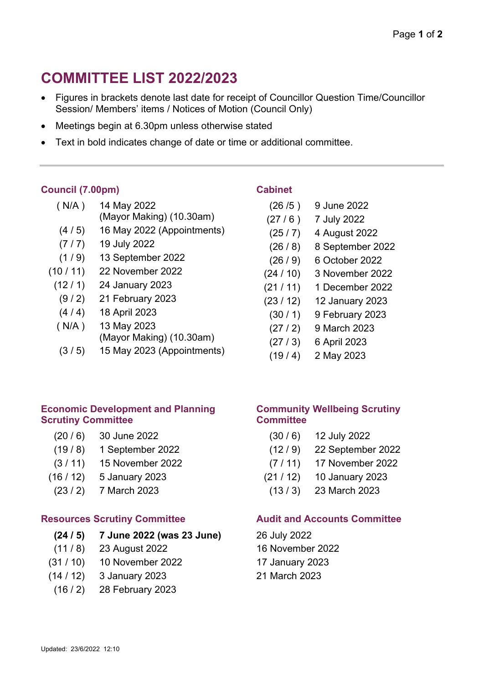# **COMMITTEE LIST 2022/2023**

- Figures in brackets denote last date for receipt of Councillor Question Time/Councillor Session/ Members' items / Notices of Motion (Council Only)
- Meetings begin at 6.30pm unless otherwise stated
- Text in bold indicates change of date or time or additional committee.

# **Council (7.00pm)**

| (N/A) | 14 May 2022              |
|-------|--------------------------|
|       | (Mayor Making) (10.30am) |

- (4 / 5) 16 May 2022 (Appointments)
- (7 / 7) 19 July 2022
- (1 / 9) 13 September 2022
- (10 / 11) 22 November 2022
	- (12 / 1) 24 January 2023
		- (9 / 2) 21 February 2023
		- (4 / 4) 18 April 2023
	- ( N/A ) 13 May 2023
		- (Mayor Making) (10.30am)
	- (3 / 5) 15 May 2023 (Appointments)

#### **Economic Development and Planning Scrutiny Committee**

- (20 / 6) 30 June 2022
- (19 / 8) 1 September 2022
- (3 / 11) 15 November 2022
- (16 / 12) 5 January 2023
	- (23 / 2) 7 March 2023

# **Resources Scrutiny Committee**

# **(24 / 5) 7 June 2022 (was 23 June)**

- (11 / 8) 23 August 2022
- (31 / 10) 10 November 2022
- (14 / 12) 3 January 2023
- (16 / 2) 28 February 2023

## **Cabinet**

- (26 /5 ) 9 June 2022 (27 / 6 ) 7 July 2022 (25 / 7) 4 August 2022
- (26 / 8) 8 September 2022
- (26 / 9) 6 October 2022
- (24 / 10) 3 November 2022
- (21 / 11) 1 December 2022
- (23 / 12) 12 January 2023
	- (30 / 1) 9 February 2023
	- (27 / 2) 9 March 2023
	- (27 / 3) 6 April 2023
	- $(19/4)$  2 May 2023

## **Community Wellbeing Scrutiny Committee**

- (30 / 6) 12 July 2022
- (12 / 9) 22 September 2022
- (7 / 11) 17 November 2022
- (21 / 12) 10 January 2023
- (13 / 3) 23 March 2023

# **Audit and Accounts Committee**

- 26 July 2022 16 November 2022
- 17 January 2023
- 21 March 2023